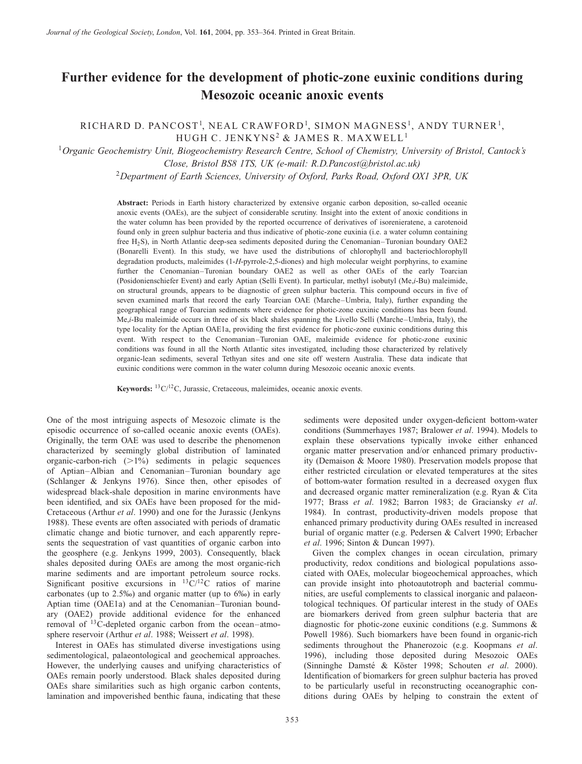# Further evidence for the development of photic-zone euxinic conditions during Mesozoic oceanic anoxic events

RICHARD D. PANCOST<sup>1</sup>, NEAL CRAWFORD<sup>1</sup>, SIMON MAGNESS<sup>1</sup>, ANDY TURNER<sup>1</sup>, HUGH C. JENKYNS<sup>2</sup> & JAMES R. MAXWELL<sup>1</sup>

 $1$ Organic Geochemistry Unit, Biogeochemistry Research Centre, School of Chemistry, University of Bristol, Cantock's Close, Bristol BS8 1TS, UK (e-mail: R.D.Pancost@bristol.ac.uk)

<sup>2</sup>Department of Earth Sciences, University of Oxford, Parks Road, Oxford OX1 3PR, UK

Abstract: Periods in Earth history characterized by extensive organic carbon deposition, so-called oceanic anoxic events (OAEs), are the subject of considerable scrutiny. Insight into the extent of anoxic conditions in the water column has been provided by the reported occurrence of derivatives of isorenieratene, a carotenoid found only in green sulphur bacteria and thus indicative of photic-zone euxinia (i.e. a water column containing free H2S), in North Atlantic deep-sea sediments deposited during the Cenomanian–Turonian boundary OAE2 (Bonarelli Event). In this study, we have used the distributions of chlorophyll and bacteriochlorophyll degradation products, maleimides (1-H-pyrrole-2,5-diones) and high molecular weight porphyrins, to examine further the Cenomanian–Turonian boundary OAE2 as well as other OAEs of the early Toarcian (Posidonienschiefer Event) and early Aptian (Selli Event). In particular, methyl isobutyl (Me,i-Bu) maleimide, on structural grounds, appears to be diagnostic of green sulphur bacteria. This compound occurs in five of seven examined marls that record the early Toarcian OAE (Marche–Umbria, Italy), further expanding the geographical range of Toarcian sediments where evidence for photic-zone euxinic conditions has been found. Me,*i*-Bu maleimide occurs in three of six black shales spanning the Livello Selli (Marche–Umbria, Italy), the type locality for the Aptian OAE1a, providing the first evidence for photic-zone euxinic conditions during this event. With respect to the Cenomanian–Turonian OAE, maleimide evidence for photic-zone euxinic conditions was found in all the North Atlantic sites investigated, including those characterized by relatively organic-lean sediments, several Tethyan sites and one site off western Australia. These data indicate that euxinic conditions were common in the water column during Mesozoic oceanic anoxic events.

Keywords: 13C/12C, Jurassic, Cretaceous, maleimides, oceanic anoxic events.

One of the most intriguing aspects of Mesozoic climate is the episodic occurrence of so-called oceanic anoxic events (OAEs). Originally, the term OAE was used to describe the phenomenon characterized by seemingly global distribution of laminated organic-carbon-rich  $(>1%)$  sediments in pelagic sequences of Aptian–Albian and Cenomanian–Turonian boundary age [\(Schlanger &](#page-11-0) Jenkyns 1976). Since then, other episodes of widespread black-shale deposition in marine environments have been identified, and six OAEs have been proposed for the mid-Cretaceous [\(Arthur](#page-9-0) et al. 1990) and one for the Jurassic [\(Jenkyns](#page-10-0) 1988). These events are often associated with periods of dramatic climatic change and biotic turnover, and each apparently represents the sequestration of vast quantities of organic carbon into the geosphere (e.g. [Jenkyns 1999,](#page-10-0) 2003). Consequently, black shales deposited during OAEs are among the most organic-rich marine sediments and are important petroleum source rocks. Significant positive excursions in  ${}^{13}C/{}^{12}C$  ratios of marine carbonates (up to 2.5‰) and organic matter (up to 6‰) in early Aptian time (OAE1a) and at the Cenomanian–Turonian boundary (OAE2) provide additional evidence for the enhanced removal of 13C-depleted organic carbon from the ocean–atmo-sphere reservoir [\(Arthur](#page-9-0) et al. 1988[; Weissert](#page-11-0) et al. 1998).

Interest in OAEs has stimulated diverse investigations using sedimentological, palaeontological and geochemical approaches. However, the underlying causes and unifying characteristics of OAEs remain poorly understood. Black shales deposited during OAEs share similarities such as high organic carbon contents, lamination and impoverished benthic fauna, indicating that these

sediments were deposited under oxygen-deficient bottom-water conditions [\(Summerhayes 1](#page-11-0)987; [Bralower](#page-9-0) et al. 1994). Models to explain these observations typically invoke either enhanced organic matter preservation and/or enhanced primary productivity [\(Demaison & M](#page-9-0)oore 1980). Preservation models propose that either restricted circulation or elevated temperatures at the sites of bottom-water formation resulted in a decreased oxygen flux and decreased organic matter remineralization (e.g. [Ryan & Cita](#page-11-0) 1977; [Brass](#page-9-0) et al. 1982; [Barron 1983; de Graciansky](#page-9-0) et al. 1984). In contrast, productivity-driven models propose that enhanced primary productivity during OAEs resulted in increased burial of organic matter (e.g. [Pedersen & Ca](#page-10-0)lvert 1990; [Erbacher](#page-9-0) et al. 1996[; Sinton & Dunc](#page-11-0)an 1997).

Given the complex changes in ocean circulation, primary productivity, redox conditions and biological populations associated with OAEs, molecular biogeochemical approaches, which can provide insight into photoautotroph and bacterial communities, are useful complements to classical inorganic and palaeontological techniques. Of particular interest in the study of OAEs are biomarkers derived from green sulphur bacteria that are diagnostic for photic-zone euxinic conditions (e.g. [Summons &](#page-11-0) Powell 1986). Such biomarkers have been found in organic-rich sediments throughout the Phanerozoic (e.g. [Koopmans](#page-10-0) et al. 1996), including those deposited during Mesozoic OAEs [\(Sinninghe Dam](#page-11-0)sté & Köster 1998; [Schouten](#page-11-0) et al. 2000). Identification of biomarkers for green sulphur bacteria has proved to be particularly useful in reconstructing oceanographic conditions during OAEs by helping to constrain the extent of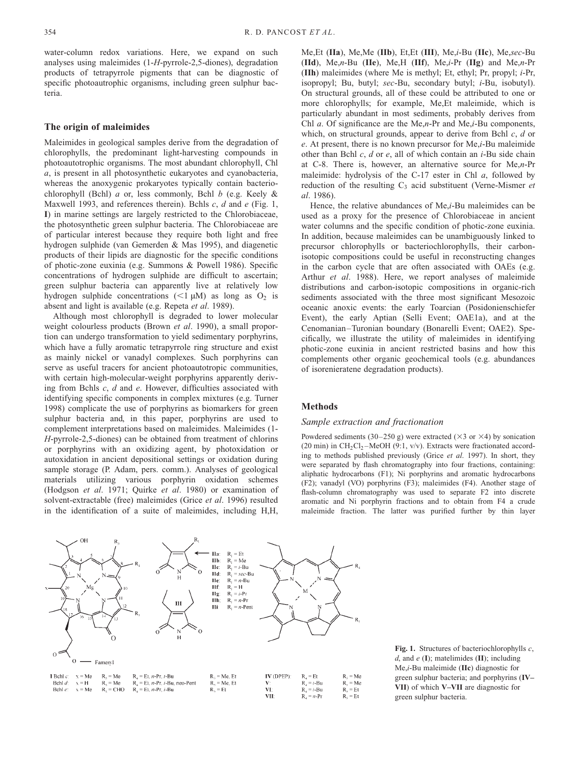<span id="page-1-0"></span>water-column redox variations. Here, we expand on such analyses using maleimides (1-H-pyrrole-2,5-diones), degradation products of tetrapyrrole pigments that can be diagnostic of specific photoautrophic organisms, including green sulphur bacteria.

## The origin of maleimides

Maleimides in geological samples derive from the degradation of chlorophylls, the predominant light-harvesting compounds in photoautotrophic organisms. The most abundant chlorophyll, Chl a, is present in all photosynthetic eukaryotes and cyanobacteria, whereas the anoxygenic prokaryotes typically contain bacteriochlorophyll (Bchl) a or, less commonly, Bchl b (e.g. [Keely &](#page-10-0) Maxwell 1993, and references therein). Bchls  $c$ ,  $d$  and  $e$  (Fig. 1, I) in marine settings are largely restricted to the Chlorobiaceae, the photosynthetic green sulphur bacteria. The Chlorobiaceae are of particular interest because they require both light and free hydrogen sulphide [\(van Gemerden](#page-11-0) & Mas 1995), and diagenetic products of their lipids are diagnostic for the specific conditions of photic-zone euxinia (e.g. [Summons & P](#page-11-0)owell 1986). Specific concentrations of hydrogen sulphide are difficult to ascertain; green sulphur bacteria can apparently live at relatively low hydrogen sulphide concentrations ( $\leq 1 \mu M$ ) as long as O<sub>2</sub> is absent and light is available (e.g[. Repeta](#page-10-0) et al. 1989).

Although most chlorophyll is degraded to lower molecular weight colourless products [\(Brown](#page-9-0) et al. 1990), a small proportion can undergo transformation to yield sedimentary porphyrins, which have a fully aromatic tetrapyrrole ring structure and exist as mainly nickel or vanadyl complexes. Such porphyrins can serve as useful tracers for ancient photoautotropic communities, with certain high-molecular-weight porphyrins apparently deriving from Bchls  $c$ ,  $d$  and  $e$ . However, difficulties associated with identifying specific components in complex mixtures (e.g. [Turner](#page-11-0) 1998) complicate the use of porphyrins as biomarkers for green sulphur bacteria and, in this paper, porphyrins are used to complement interpretations based on maleimides. Maleimides (1- H-pyrrole-2,5-diones) can be obtained from treatment of chlorins or porphyrins with an oxidizing agent, by photoxidation or autoxidation in ancient depositional settings or oxidation during sample storage (P. Adam, pers. comm.). Analyses of geological materials utilizing various porphyrin oxidation schemes [\(Hodgson](#page-10-0) et al. 1971; [Quirke](#page-10-0) et al. 1980) or examination of solvent-extractable (free) maleimides [\(Grice](#page-10-0) et al. 1996) resulted in the identification of a suite of maleimides, including H,H,

Me,Et (IIa), Me,Me (IIb), Et,Et (III), Me,i-Bu (IIc), Me,sec-Bu (IId), Me, $n$ -Bu (IIe), Me, $H$  (IIf), Me, $i$ -Pr (IIg) and Me, $n$ -Pr (IIh) maleimides (where Me is methyl; Et, ethyl; Pr, propyl; i-Pr, isopropyl; Bu, butyl; sec-Bu, secondary butyl; i-Bu, isobutyl). On structural grounds, all of these could be attributed to one or more chlorophylls; for example, Me,Et maleimide, which is particularly abundant in most sediments, probably derives from Chl *a*. Of significance are the Me,*n*-Pr and Me,*i*-Bu components, which, on structural grounds, appear to derive from Bchl  $c, d$  or e. At present, there is no known precursor for Me,i-Bu maleimide other than Bchl  $c, d$  or  $e$ , all of which contain an  $i$ -Bu side chain at C-8. There is, however, an alternative source for Me,n-Pr maleimide: hydrolysis of the C-17 ester in Chl  $a$ , followed by reduction of the resulting  $C_3$  acid substituent [\(Verne-Mismer](#page-11-0) et al. 1986).

Hence, the relative abundances of Me,*i*-Bu maleimides can be used as a proxy for the presence of Chlorobiaceae in ancient water columns and the specific condition of photic-zone euxinia. In addition, because maleimides can be unambiguously linked to precursor chlorophylls or bacteriochlorophylls, their carbonisotopic compositions could be useful in reconstructing changes in the carbon cycle that are often associated with OAEs (e.g. [Arthur](#page-9-0) et al. 1988). Here, we report analyses of maleimide distributions and carbon-isotopic compositions in organic-rich sediments associated with the three most significant Mesozoic oceanic anoxic events: the early Toarcian (Posidonienschiefer Event), the early Aptian (Selli Event; OAE1a), and at the Cenomanian–Turonian boundary (Bonarelli Event; OAE2). Specifically, we illustrate the utility of maleimides in identifying photic-zone euxinia in ancient restricted basins and how this complements other organic geochemical tools (e.g. abundances of isorenieratene degradation products).

#### Methods

#### Sample extraction and fractionation

Powdered sediments (30–250 g) were extracted ( $\times$ 3 or  $\times$ 4) by sonication (20 min) in  $CH_2Cl_2-MeOH$  (9:1, v/v)[. Extracts were fra](#page-10-0)ctionated according to methods published previously (Grice et al. 1997). In short, they were separated by flash chromatography into four fractions, containing: aliphatic hydrocarbons (F1); Ni porphyrins and aromatic hydrocarbons (F2); vanadyl (VO) porphyrins (F3); maleimides (F4). Another stage of flash-column chromatography was used to separate F2 into discrete aromatic and Ni porphyrin fractions and to obtain from F4 a crude maleimide fraction. The latter was purified further by thin layer



Fig. 1. Structures of bacteriochlorophylls  $c$ , d, and  $e$  (I); matelimides (II); including Me,i-Bu maleimide (IIc) diagnostic for green sulphur bacteria; and porphyrins (IV– VII) of which V–VII are diagnostic for green sulphur bacteria.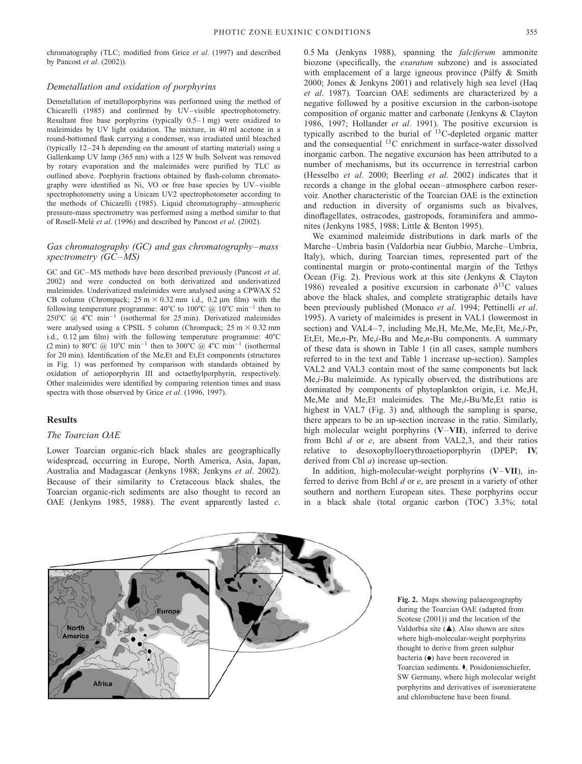chromatography (TLC; modified fro[m Grice](#page-10-0) et al. (1997) and described b[y Pancost](#page-10-0) et al. (2002)).

## Demetallation and oxidation of porphyrins

Demetallation of metalloporphyrins was performed using the method of [Chicarelli \(1985](#page-9-0)) and confirmed by UV–visible spectrophotometry. Resultant free base porphyrins (typically 0.5–1 mg) were oxidized to maleimides by UV light oxidation. The mixture, in 40 ml acetone in a round-bottomed flask carrying a condenser, was irradiated until bleached (typically 12–24 h depending on the amount of starting material) using a Gallenkamp UV lamp (365 nm) with a 125 W bulb. Solvent was removed by rotary evaporation and the maleimides were purified by TLC as outlined above. Porphyrin fractions obtained by flash-column chromatography were identified as Ni, VO or free base species by UV–visible spectrophotometry using a Unicam UV2 spectrophotometer according to the methods of [Chicarelli \(1985\)](#page-9-0). Liquid chromatography–atmospheric pressure-mass spectrometry was performed using a method similar to that of Rosell-Melé et al. (1996) and described b[y Pancost](#page-10-0) et al. (2002).

## Gas chromatography (GC) and gas chromatography–mass spectrometry (GC–MS)

GC and GC–MS methods have been described previously [\(Pancost](#page-10-0) et al. 2002) and were conducted on both derivatized and underivatized maleimides. Underivatized maleimides were analysed using a CPWAX 52 CB column (Chrompack;  $25 \text{ m} \times 0.32 \text{ mm}$  i.d., 0.2  $\mu$ m film) with the following temperature programme:  $40^{\circ}$ C to  $100^{\circ}$ C  $\omega$   $10^{\circ}$ C min<sup>-1</sup> then to 250°C  $@$  4°C min<sup>-1</sup> (isothermal for 25 min). Derivatized maleimides were analysed using a CPSIL 5 column (Chrompack;  $25 \text{ m} \times 0.32 \text{ mm}$ ) i.d., 0.12  $\mu$ m film) with the following temperature programme: 40 $\degree$ C (2 min) to 80°C @ 10°C min<sup>-1</sup> then to 300°C @ 4°C min<sup>-1</sup> (isothermal for 20 min). Identification of the Me,Et and Et,Et components (structures in Fig. [1\)](#page-1-0) was performed by comparison with standards obtained by oxidation of aetioporphyrin III and octaethylporphyrin, respectively. Other maleimides were identified by comparing retention times and mass spectra with those observed b[y Grice](#page-10-0) et al. (1996, 1997).

## Results

### The Toarcian OAE

Lower Toarcian organic-rich black shales are geographically widespread, occurring in Europe, North America, Asia, Japan, Australia and Madagascar [\(Jenkyns 1988; Jenkyns](#page-10-0) et al. 2002). Because of their similarity to Cretaceous black shales, the Toarcian organic-rich sediments are also thought to record an OAE [\(Jenkyns 1985,](#page-10-0) 1988). The event apparently lasted c.

0.5 Ma [\(Jenkyns 1988](#page-10-0)), spanning the falciferum ammonite biozone (specifically, the *exaratum* subzone) and is associated with emplacement of a large igneous province (Pálfy  $&$  Smith 2000; [Jones & Jenky](#page-10-0)ns 2001) and relatively high sea level [\(Haq](#page-10-0) et al. 1987). Toarcian OAE sediments are characterized by a negative followed by a positive excursion in the carbon-isotope composition of organic matter and carbonate [\(Jenkyns & Clay](#page-10-0)ton 1986, 1997; [Hollander](#page-10-0) et al. 1991). The positive excursion is typically ascribed to the burial of  $^{13}$ C-depleted organic matter and the consequential 13C enrichment in surface-water dissolved inorganic carbon. The negative excursion has been attributed to a number of mechanisms, but its occurrence in terrestrial carbon [\(Hesselbo](#page-10-0) et al. 2000; [Beerling](#page-9-0) et al. 2002) indicates that it records a change in the global ocean–atmosphere carbon reservoir. Another characteristic of the Toarcian OAE is the extinction and reduction in diversity of organisms such as bivalves, dinoflagellates, ostracodes, gastropods, foraminifera and ammonites [\(Jenkyns 1985,](#page-10-0) 1988[; Little & Benton](#page-10-0) 1995).

We examined maleimide distributions in dark marls of the Marche–Umbria basin (Valdorbia near Gubbio, Marche–Umbria, Italy), which, during Toarcian times, represented part of the continental margin or proto-continental margin of the Tethys Ocean (Fig. 2). Previous work at this site [\(Jenkyns & Cla](#page-10-0)yton 1986) revealed a positive excursion in carbonate  $\delta^{13}$ C values above the black shales, and complete stratigraphic details have been previously published [\(Monaco](#page-10-0) et al. 1994; [Pettinelli](#page-10-0) et al. 1995). A variety of maleimides is present in VAL1 (lowermost in section) and VAL4–7, including Me, H, Me, Me, Me, Et, Me, i-Pr, Et, Et, Me,n-Pr, Me,i-Bu and Me,n-Bu components. A summary of these data is shown in [Table 1 \(in](#page-3-0) all cases, sample numbers referred to in the text and [Table 1 inc](#page-3-0)rease up-section). Samples VAL2 and VAL3 contain most of the same components but lack Me,i-Bu maleimide. As typically observed, the distributions are dominated by components of phytoplankton origin, i.e. Me,H, Me,Me and Me,Et maleimides. The Me,i-Bu/Me,Et ratio is highest in VAL7 (Fig. [3\)](#page-4-0) and, although the sampling is sparse, there appears to be an up-section increase in the ratio. Similarly, high molecular weight porphyrins (V–VII), inferred to derive from Bchl d or e, are absent from VAL2,3, and their ratios relative to desoxophylloerythroaetioporphyrin (DPEP; IV, derived from Chl a) increase up-section.

In addition, high-molecular-weight porphyrins (V–VII), inferred to derive from Bchl d or e, are present in a variety of other southern and northern European sites. These porphyrins occur in a black shale (total organic carbon (TOC) 3.3%; total

> Fig. 2. Maps showing palaeogeography during the Toarcian OAE (adapted from [Scotese \(2001\)\) a](#page-11-0)nd the location of the Valdorbia site  $($  $\blacktriangle)$ . Also shown are sites where high-molecular-weight porphyrins thought to derive from green sulphur bacteria ( $\bullet$ ) have been recovered in Toarcian sediments.  $\bullet$ , Posidonienschiefer, SW Germany, where high molecular weight porphyrins and derivatives of isorenieratene and chlorobactene have been found.

Europe North America Africa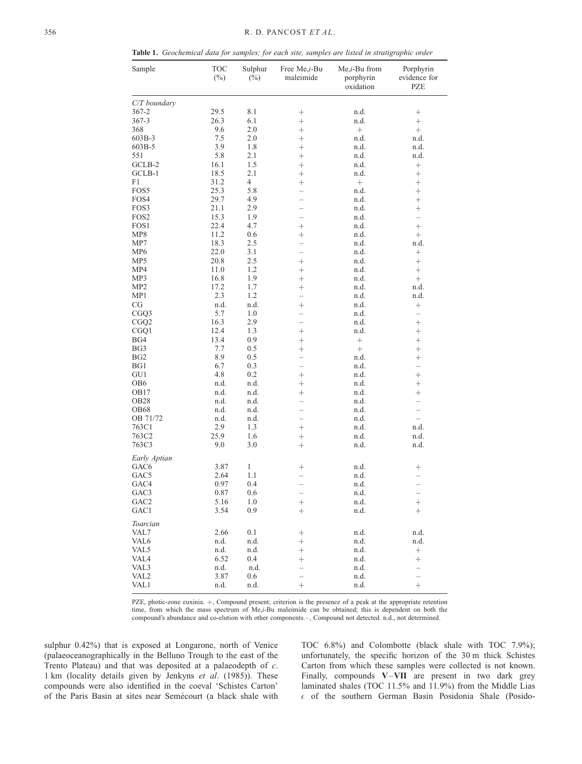<span id="page-3-0"></span>Table 1. Geochemical data for samples; for each site, samples are listed in stratigraphic order

| Sample                 | <b>TOC</b><br>$(\%)$ | Sulphur<br>$(\%)$ | Free Me,i-Bu<br>maleimide    | Me,i-Bu from<br>porphyrin<br>oxidation | Porphyrin<br>evidence for<br>PZE |
|------------------------|----------------------|-------------------|------------------------------|----------------------------------------|----------------------------------|
| C/T boundary           |                      |                   |                              |                                        |                                  |
| $367 - 2$              | 29.5                 | 8.1               | $^+$                         | n.d.                                   | $^{+}$                           |
| $367 - 3$              | 26.3                 | 6.1               | $^{+}$                       | n.d.                                   | $^{+}$                           |
| 368                    | 9.6                  | 2.0               | $^{+}$                       | $^{+}$                                 | $^{+}$                           |
| 603B-3                 | 7.5                  | 2.0               | $^{+}$                       | n.d.                                   | n.d.                             |
| 603B-5                 | 3.9                  | 1.8               | $^{+}$                       | n.d.                                   | n.d.                             |
| 551                    | 5.8                  | 2.1               | $^{+}$                       | n.d.                                   | n.d.                             |
| GCLB-2                 | 16.1                 | 1.5               | $^{+}$                       | n.d.                                   |                                  |
| GCLB-1                 | 18.5                 | 2.1               | $^{+}$                       | n.d.                                   |                                  |
| F1                     | 31.2                 | $\overline{4}$    | $^{+}$                       | $^{+}$                                 | $^{+}$                           |
| FOS5                   | 25.3                 | 5.8               | $\overline{\phantom{0}}$     | n.d.                                   | $^{+}$                           |
| FOS4                   | 29.7                 | 4.9               |                              | n.d.                                   | $^{+}$                           |
| FOS3                   | 21.1                 | 2.9               |                              | n.d.                                   | $^+$                             |
| FOS <sub>2</sub>       | 15.3                 | 1.9               |                              | n.d.                                   | $\qquad \qquad -$                |
| FOS1                   | 22.4                 | 4.7               | $^{+}$                       | n.d.                                   | $^{+}$                           |
| MP8                    | 11.2                 | 0.6               | $\hspace{0.1mm} +$           | n.d.                                   | $^{+}$                           |
| MP7<br>MP <sub>6</sub> | 18.3<br>22.0         | 2.5<br>3.1        |                              | n.d.                                   | n.d.                             |
| MP5                    | 20.8                 | 2.5               |                              | n.d.<br>n.d.                           |                                  |
| MP4                    | 11.0                 | 1.2               | $^{+}$<br>$\hspace{0.1mm} +$ | n.d.                                   | $^{+}$<br>$^{+}$                 |
| MP3                    | 16.8                 | 1.9               | $^{+}$                       | n.d.                                   | $^{+}$                           |
| MP <sub>2</sub>        | 17.2                 | 1.7               | $^{+}$                       | n.d.                                   | n.d.                             |
| MP1                    | 2.3                  | 1.2               | $\overline{\phantom{0}}$     | n.d.                                   | n.d.                             |
| CG                     | n.d.                 | n.d.              | $\hspace{0.1mm} +$           | n.d.                                   |                                  |
| CGQ3                   | 5.7                  | 1.0               |                              | n.d.                                   | $\qquad \qquad -$                |
| CGQ <sub>2</sub>       | 16.3                 | 2.9               |                              | n.d.                                   |                                  |
| CGQ1                   | 12.4                 | 1.3               | $^{+}$                       | n.d.                                   | $^{+}$                           |
| BG4                    | 13.4                 | 0.9               | $\hspace{0.1mm} +$           | $^{+}$                                 | $^{+}$                           |
| BG3                    | 7.7                  | 0.5               | $^{+}$                       | $\! + \!\!\!\!$                        | $^{+}$                           |
| BG <sub>2</sub>        | 8.9                  | 0.5               |                              | n.d.                                   | $^{+}$                           |
| BG1                    | 6.7                  | 0.3               |                              | n.d.                                   | $\overline{a}$                   |
| GU1                    | 4.8                  | 0.2               | $\hspace{0.1mm} +$           | n.d.                                   | $^{+}$                           |
| OB <sub>6</sub>        | n.d.                 | n.d.              | $^{+}$                       | n.d.                                   | $^{+}$                           |
| OB <sub>17</sub>       | n.d.                 | n.d.              | $^{+}$                       | n.d.                                   | $^{+}$                           |
| OB <sub>28</sub>       | n.d.                 | n.d.              |                              | n.d.                                   |                                  |
| <b>OB68</b>            | n.d.                 | n.d.              |                              | n.d.                                   |                                  |
| OB 71/72               | n.d.                 | n.d.              |                              | n.d.                                   |                                  |
| 763C1                  | 2.9                  | 1.3               | $\hspace{0.1mm} +$           | n.d.                                   | n.d.                             |
| 763C2                  | 25.9                 | 1.6               | $^{+}$                       | n.d.                                   | n.d.                             |
| 763C3                  | 9.0                  | 3.0               | $^{+}$                       | n.d.                                   | n.d.                             |
| Early Aptian           |                      |                   |                              |                                        |                                  |
| GAC <sub>6</sub>       | 3.87                 | 1                 | $\hspace{0.1mm} +$           | n.d.                                   | $\hspace{0.1mm} +$               |
| GAC <sub>5</sub>       | 2.64                 | 1.1               |                              | n.d.                                   |                                  |
| GAC4                   | 0.97                 | 0.4               |                              | n.d.                                   |                                  |
| GAC3                   | 0.87                 | 0.6               |                              | n.d.                                   | $\overline{\phantom{0}}$         |
| GAC <sub>2</sub>       | 5.16                 | 1.0               |                              | n.d.                                   |                                  |
| GAC1                   | 3.54                 | 0.9               | $^{+}$                       | n.d.                                   |                                  |
| Toarcian               |                      |                   |                              |                                        |                                  |
| VAL7                   | 2.66                 | 0.1               | $^+$                         | n.d.                                   | n.d.                             |
| VAL <sub>6</sub>       | n.d.                 | n.d.              | $^{+}$                       | n.d.                                   | n.d.                             |
| VAL5                   | n.d.                 | n.d.              | $^{+}$                       | n.d.                                   |                                  |
| VAL4                   | 6.52                 | 0.4               | $^{+}$                       | n.d.                                   | $^{+}$                           |
| VAL3                   | n.d.                 | n.d.              |                              | n.d.                                   | $\overline{\phantom{0}}$         |
| VAL <sub>2</sub>       | 3.87                 | 0.6               |                              | n.d.                                   |                                  |
| VAL1                   | n.d.                 | n.d.              | $^{+}$                       | n.d.                                   | $^{+}$                           |

PZE, photic-zone euxinia. +, Compound present; criterion is the presence of a peak at the appropriate retention time, from which the mass spectrum of Me,i-Bu maleimide can be obtained; this is dependent on both the compound's abundance and co-elution with other components.–, Compound not detected. n.d., not determined.

sulphur 0.42%) that is exposed at Longarone, north of Venice (palaeoceanographically in the Belluno Trough to the east of the Trento Plateau) and that was deposited at a palaeodepth of c. 1 km (locality details given by [Jenkyns](#page-10-0) et al. (1985)). These compounds were also identified in the coeval 'Schistes Carton' of the Paris Basin at sites near Semecourt (a black shale with TOC 6.8%) and Colombotte (black shale with TOC 7.9%); unfortunately, the specific horizon of the 30 m thick Schistes Carton from which these samples were collected is not known. Finally, compounds V–VII are present in two dark grey laminated shales (TOC 11.5% and 11.9%) from the Middle Lias *E* of the southern German Basin Posidonia Shale (Posido-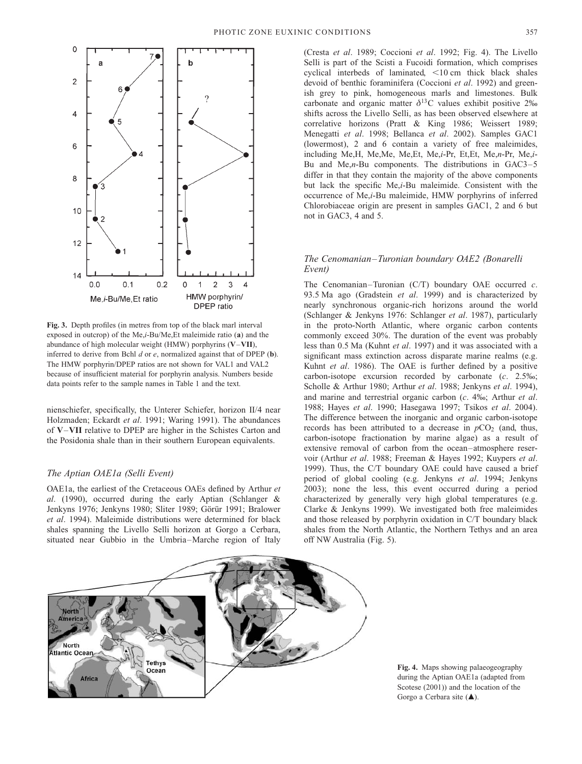<span id="page-4-0"></span>

Fig. 3. Depth profiles (in metres from top of the black marl interval exposed in outcrop) of the Me,i-Bu/Me,Et maleimide ratio (a) and the abundance of high molecular weight (HMW) porphyrins (V–VII), inferred to derive from Bchl  $d$  or  $e$ , normalized against that of DPEP (b). The HMW porphyrin/DPEP ratios are not shown for VAL1 and VAL2 because of insufficient material for porphyrin analysis. Numbers beside data points refer to the sample names i[n Table 1 and](#page-3-0) the text.

nienschiefer, specifically, the Unterer Schiefer, horizon II/4 near Holzmaden; [Eckardt](#page-9-0) et al. 1991; [Waring 1991\).](#page-11-0) The abundances of V–VII relative to DPEP are higher in the Schistes Carton and the Posidonia shale than in their southern European equivalents.

## The Aptian OAE1a (Selli Event)

OAE1a, the earliest of the Cretaceous OAEs defined b[y Arthur](#page-9-0) et al. (1990), occurred during the early Aptian [\(Schlanger &](#page-11-0) Jenkyns 1976; [Jenkyns 1980;](#page-10-0) [Sliter 1989; G](#page-11-0)örür 1991; [Bralower](#page-9-0) et al. 1994). Maleimide distributions were determined for black shales spanning the Livello Selli horizon at Gorgo a Cerbara, situated near Gubbio in the Umbria–Marche region of Italy

[\(Cresta](#page-9-0) et al. 1989; [Coccioni](#page-9-0) et al. 1992; Fig. 4). The Livello Selli is part of the Scisti a Fucoidi formation, which comprises cyclical interbeds of laminated,  $\lt 10$  cm thick black shales devoid of benthic foraminifera [\(Coccioni](#page-9-0) et al. 1992) and greenish grey to pink, homogeneous marls and limestones. Bulk carbonate and organic matter  $\delta^{13}$ C values exhibit positive 2‰ shifts across the Livello Selli, as has been observed elsewhere at correlative horizons [\(Pratt & King](#page-10-0) 1986; [Weissert 1989](#page-11-0); [Menegatti](#page-10-0) et al. 1998; [Bellanca](#page-9-0) et al. 2002). Samples GAC1 (lowermost), 2 and 6 contain a variety of free maleimides, including Me, H, Me, Me, Me, Et, Me, i-Pr, Et, Et, Me, n-Pr, Me, i-Bu and Me,n-Bu components. The distributions in GAC3–5 differ in that they contain the majority of the above components but lack the specific Me,i-Bu maleimide. Consistent with the occurrence of Me,i-Bu maleimide, HMW porphyrins of inferred Chlorobiaceae origin are present in samples GAC1, 2 and 6 but not in GAC3, 4 and 5.

## The Cenomanian–Turonian boundary OAE2 (Bonarelli Event)

The Cenomanian–Turonian (C/T) boundary OAE occurred c. 93.5 Ma ago [\(Gradstein](#page-10-0) et al. 1999) and is characterized by nearly synchronous organic-rich horizons around the world [\(Schlanger & Je](#page-11-0)nkyns 1976: [Schlanger](#page-11-0) et al. 1987), particularly in the proto-North Atlantic, where organic carbon contents commonly exceed 30%. The duration of the event was probably less than 0.5 Ma [\(Kuhnt](#page-10-0) et al. 1997) and it was associated with a significant mass extinction across disparate marine realms (e.g. [Kuhnt](#page-10-0) et al. 1986). The OAE is further defined by a positive carbon-isotope excursion recorded by carbonate (c. 2.5‰; [Scholle & Arth](#page-11-0)ur 1980[; Arthur](#page-9-0) et al. 1988[; Jenkyns](#page-10-0) et al. 1994), and marine and terrestrial organic carbon (c. 4‰; [Arthur](#page-9-0) et al. 1988; [Hayes](#page-10-0) et al. 1990; [Hasegawa 1997](#page-10-0); [Tsikos](#page-11-0) et al. 2004). The difference between the inorganic and organic carbon-isotope records has been attributed to a decrease in  $pCO<sub>2</sub>$  (and, thus, carbon-isotope fractionation by marine algae) as a result of extensive removal of carbon from the ocean–atmosphere reservoir [\(Arthur](#page-9-0) et al. 1988; [Freeman & Ha](#page-10-0)yes 1992; [Kuypers](#page-10-0) et al. 1999). Thus, the C/T boundary OAE could have caused a brief period of global cooling (e.g. [Jenkyns](#page-10-0) et al. 1994; [Jenkyns](#page-10-0) 2003); none the less, this event occurred during a period characterized by generally very high global temperatures (e.g. [Clarke & Jenk](#page-9-0)yns 1999). We investigated both free maleimides and those released by porphyrin oxidation in C/T boundary black shales from the North Atlantic, the Northern Tethys and an area off NW Australia (Fig[. 5\).](#page-5-0)



Fig. 4. Maps showing palaeogeography during the Aptian OAE1a (adapted from [Scotese \(2001\)\) a](#page-11-0)nd the location of the Gorgo a Cerbara site  $(\triangle)$ .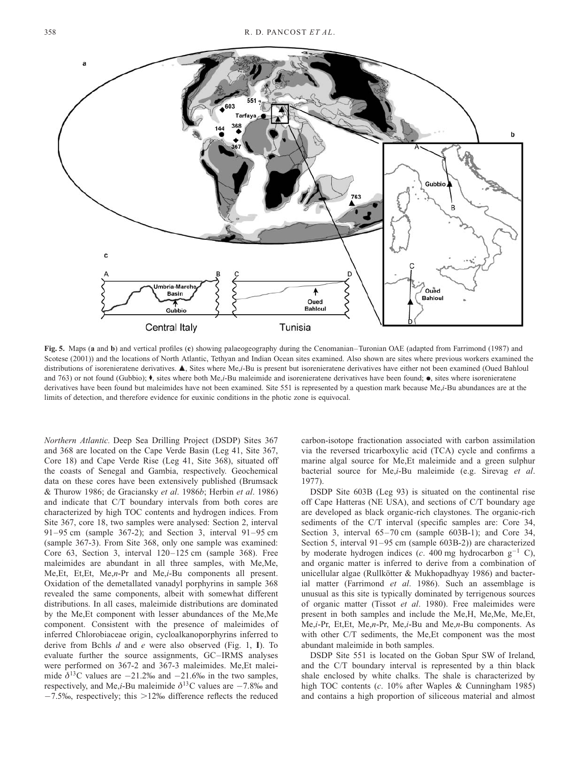<span id="page-5-0"></span>

Fig. 5. Maps (a and b) and vertical profiles (c) showing palaeogeography during the Cenomanian–Turonian OAE (adapted from Farrimond (1987) and [Scotese \(2001\)\) a](#page-11-0)nd the locations of North Atlantic, Tethyan and Indian Ocean sites examined. Also shown are sites where previous workers examined the distributions of isorenieratene derivatives.  $\blacktriangle$ , Sites where Me,i-Bu is present but isorenieratene derivatives have either not been examined (Oued Bahloul and 763) or not found (Gubbio);  $\bullet$ , sites where both Me,*i*-Bu maleimide and isorenieratene derivatives have been found;  $\bullet$ , sites where isorenieratene derivatives have been found but maleimides have not been examined. Site 551 is represented by a question mark because Me,i-Bu abundances are at the limits of detection, and therefore evidence for euxinic conditions in the photic zone is equivocal.

Northern Atlantic. Deep Sea Drilling Project (DSDP) Sites 367 and 368 are located on the Cape Verde Basin (Leg 41, Site 367, Core 18) and Cape Verde Rise (Leg 41, Site 368), situated off the coasts of Senegal and Gambia, respectively. Geochemical data on these cores have been extensively published [\(Brumsack](#page-9-0) & Thurow 1986; [de Graciansky](#page-9-0) et al. 1986b[; Herbin](#page-10-0) et al. 1986) and indicate that C/T boundary intervals from both cores are characterized by high TOC contents and hydrogen indices. From Site 367, core 18, two samples were analysed: Section 2, interval 91–95 cm (sample 367-2); and Section 3, interval 91–95 cm (sample 367-3). From Site 368, only one sample was examined: Core 63, Section 3, interval 120–125 cm (sample 368). Free maleimides are abundant in all three samples, with Me,Me, Me,Et, Et,Et, Me,n-Pr and Me,i-Bu components all present. Oxidation of the demetallated vanadyl porphyrins in sample 368 revealed the same components, albeit with somewhat different distributions. In all cases, maleimide distributions are dominated by the Me,Et component with lesser abundances of the Me,Me component. Consistent with the presence of maleimides of inferred Chlorobiaceae origin, cycloalkanoporphyrins inferred to derive from Bchls  $d$  and  $e$  were also observed (Fig. [1,](#page-1-0) I). To evaluate further the source assignments, GC–IRMS analyses were performed on 367-2 and 367-3 maleimides. Me,Et maleimide  $\delta^{13}$ C values are  $-21.2\%$  and  $-21.6\%$  in the two samples, respectively, and Me, *i*-Bu maleimide  $\delta^{13}$ C values are -7.8‰ and  $-7.5\%$ , respectively; this  $>12\%$  difference reflects the reduced carbon-isotope fractionation associated with carbon assimilation via the reversed tricarboxylic acid (TCA) cycle and confirms a marine algal source for Me,Et maleimide and a green sulphur bacterial source for Me,*i*-Bu maleimide (e.g. [Sirevag](#page-11-0) et al. 1977).

DSDP Site 603B (Leg 93) is situated on the continental rise off Cape Hatteras (NE USA), and sections of C/T boundary age are developed as black organic-rich claystones. The organic-rich sediments of the C/T interval (specific samples are: Core 34, Section 3, interval  $65-70$  cm (sample  $603B-1$ ); and Core 34, Section 5, interval 91–95 cm (sample 603B-2)) are characterized by moderate hydrogen indices (c. 400 mg hydrocarbon  $g^{-1}$  C), and organic matter is inferred to derive from a combination of unicellular algae (Rullkötter & Mukhopadhyay 1986) and bacter-ial matter [\(Farrimond](#page-9-0) et al. 1986). Such an assemblage is unusual as this site is typically dominated by terrigenous sources of organic matter [\(Tissot](#page-11-0) et al. 1980). Free maleimides were present in both samples and include the Me,H, Me,Me, Me,Et, Me, *i*-Pr, Et, Et, Me, *n*-Pr, Me, *i*-Bu and Me, *n*-Bu components. As with other C/T sediments, the Me,Et component was the most abundant maleimide in both samples.

DSDP Site 551 is located on the Goban Spur SW of Ireland, and the C/T boundary interval is represented by a thin black shale enclosed by white chalks. The shale is characterized by high TOC contents (c. 10% after [Waples & Cun](#page-11-0)ningham 1985) and contains a high proportion of siliceous material and almost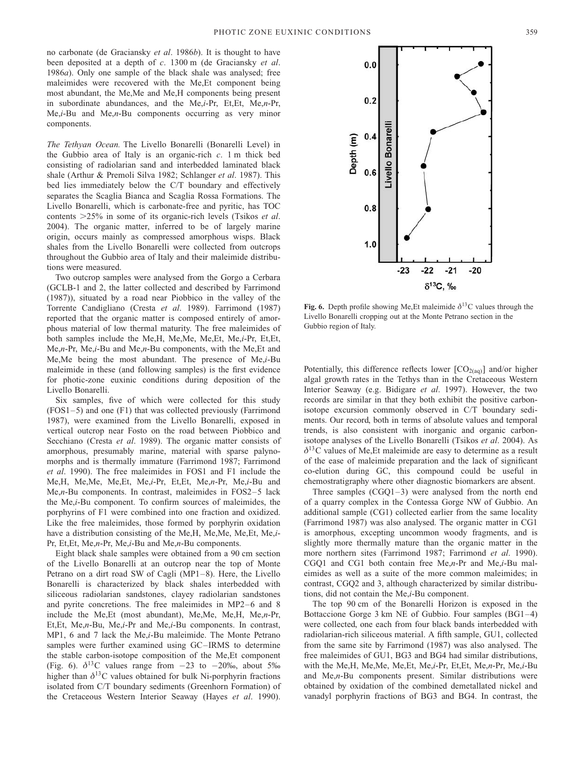no carbonate [\(de Graciansky](#page-9-0) et al. 1986b). It is thought to have been deposited at a depth of c. 1300 m [\(de Graciansky](#page-9-0) et al. 1986a). Only one sample of the black shale was analysed; free maleimides were recovered with the Me,Et component being most abundant, the Me,Me and Me,H components being present in subordinate abundances, and the Me,*i*-Pr, Et,Et, Me,*n*-Pr, Me,*i*-Bu and Me,*n*-Bu components occurring as very minor components.

The Tethyan Ocean. The Livello Bonarelli (Bonarelli Level) in the Gubbio area of Italy is an organic-rich c. 1 m thick bed consisting of radiolarian sand and interbedded laminated black shale [\(Arthur & Prem](#page-9-0)oli Silva 1982; [Schlanger](#page-11-0) et al. 1987). This bed lies immediately below the C/T boundary and effectively separates the Scaglia Bianca and Scaglia Rossa Formations. The Livello Bonarelli, which is carbonate-free and pyritic, has TOC contents  $>25\%$  in some of its organic-rich levels [\(Tsikos](#page-11-0) *et al.*) 2004). The organic matter, inferred to be of largely marine origin, occurs mainly as compressed amorphous wisps. Black shales from the Livello Bonarelli were collected from outcrops throughout the Gubbio area of Italy and their maleimide distributions were measured.

Two outcrop samples were analysed from the Gorgo a Cerbara (GCLB-1 and 2, the latter collected and described b[y Farrimond](#page-9-0) (1987)), situated by a road near Piobbico in the valley of the Torrente Candigliano [\(Cresta](#page-9-0) et al. 1989). [Farrimond \(19](#page-9-0)87) reported that the organic matter is composed entirely of amorphous material of low thermal maturity. The free maleimides of both samples include the Me, H, Me, Me, Me, Et, Me, i-Pr, Et, Et, Me,n-Pr, Me,i-Bu and Me,n-Bu components, with the Me, Et and Me,Me being the most abundant. The presence of Me,i-Bu maleimide in these (and following samples) is the first evidence for photic-zone euxinic conditions during deposition of the Livello Bonarelli.

Six samples, five of which were collected for this study (FOS1–5) and one (F1) that was collected previously [\(Farrimond](#page-9-0) 1987), were examined from the Livello Bonarelli, exposed in vertical outcrop near Fosto on the road between Piobbico and Secchiano [\(Cresta](#page-9-0) et al. 1989). The organic matter consists of amorphous, presumably marine, material with sparse palynomorphs and is thermally immature [\(Farrimond 198](#page-9-0)7; [Farrimond](#page-9-0) et al. 1990). The free maleimides in FOS1 and F1 include the Me, H, Me, Me, Me, Et, Me, i-Pr, Et, Et, Me, n-Pr, Me, i-Bu and Me,n-Bu components. In contrast, maleimides in FOS2–5 lack the Me,i-Bu component. To confirm sources of maleimides, the porphyrins of F1 were combined into one fraction and oxidized. Like the free maleimides, those formed by porphyrin oxidation have a distribution consisting of the Me, H, Me, Me, Me, Me, Me, i-Pr, Et, Et, Me, n-Pr, Me, i-Bu and Me, n-Bu components.

Eight black shale samples were obtained from a 90 cm section of the Livello Bonarelli at an outcrop near the top of Monte Petrano on a dirt road SW of Cagli (MP1–8). Here, the Livello Bonarelli is characterized by black shales interbedded with siliceous radiolarian sandstones, clayey radiolarian sandstones and pyrite concretions. The free maleimides in MP2–6 and 8 include the Me,Et (most abundant), Me,Me, Me,H, Me,n-Pr, Et, Et, Me,n-Bu, Me,i-Pr and Me,i-Bu components. In contrast, MP1, 6 and 7 lack the Me,i-Bu maleimide. The Monte Petrano samples were further examined using GC–IRMS to determine the stable carbon-isotope composition of the Me,Et component (Fig. 6).  $\delta^{13}$ C values range from -23 to -20‰, about 5‰ higher than  $\delta^{13}$ C values obtained for bulk Ni-porphyrin fractions isolated from C/T boundary sediments (Greenhorn Formation) of the Cretaceous Western Interior Seaway [\(Hayes](#page-10-0) et al. 1990).



Fig. 6. Depth profile showing Me, Et maleimide  $\delta^{13}$ C values through the Livello Bonarelli cropping out at the Monte Petrano section in the Gubbio region of Italy.

Potentially, this difference reflects lower  $[CO_{2(aq)}]$  and/or higher algal growth rates in the Tethys than in the Cretaceous Western Interior Seaway (e.g. [Bidigare](#page-9-0) et al. 1997). However, the two records are similar in that they both exhibit the positive carbonisotope excursion commonly observed in C/T boundary sediments. Our record, both in terms of absolute values and temporal trends, is also consistent with inorganic and organic carbonisotope analyses of the Livello Bonarelli [\(Tsikos](#page-11-0) et al. 2004). As  $\delta^{13}$ C values of Me. Et maleimide are easy to determine as a result of the ease of maleimide preparation and the lack of significant co-elution during GC, this compound could be useful in chemostratigraphy where other diagnostic biomarkers are absent.

Three samples (CGQ1–3) were analysed from the north end of a quarry complex in the Contessa Gorge NW of Gubbio. An additional sample (CG1) collected earlier from the same locality [\(Farrimond 198](#page-9-0)7) was also analysed. The organic matter in CG1 is amorphous, excepting uncommon woody fragments, and is slightly more thermally mature than the organic matter in the more northern sites [\(Farrimond 198](#page-9-0)7; [Farrimond](#page-9-0) et al. 1990). CGQ1 and CG1 both contain free Me,n-Pr and Me,i-Bu maleimides as well as a suite of the more common maleimides; in contrast, CGQ2 and 3, although characterized by similar distributions, did not contain the Me,i-Bu component.

The top 90 cm of the Bonarelli Horizon is exposed in the Bottaccione Gorge 3 km NE of Gubbio. Four samples (BG1–4) were collected, one each from four black bands interbedded with radiolarian-rich siliceous material. A fifth sample, GU1, collected from the same site by [Farrimond \(198](#page-9-0)7) was also analysed. The free maleimides of GU1, BG3 and BG4 had similar distributions, with the Me, H, Me, Me, Me, Et, Me, i-Pr, Et, Et, Me, n-Pr, Me, i-Bu and Me,n-Bu components present. Similar distributions were obtained by oxidation of the combined demetallated nickel and vanadyl porphyrin fractions of BG3 and BG4. In contrast, the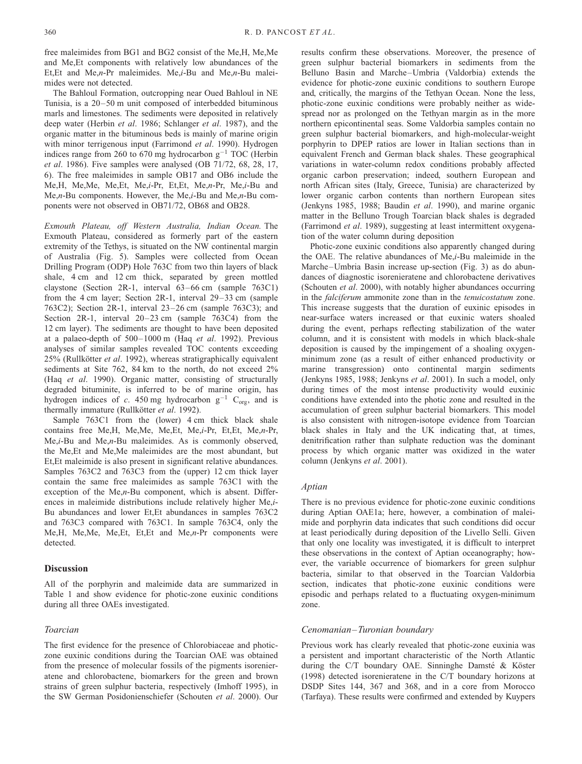free maleimides from BG1 and BG2 consist of the Me,H, Me,Me and Me,Et components with relatively low abundances of the Et, Et and Me,n-Pr maleimides. Me,i-Bu and Me,n-Bu maleimides were not detected.

The Bahloul Formation, outcropping near Oued Bahloul in NE Tunisia, is a 20–50 m unit composed of interbedded bituminous marls and limestones. The sediments were deposited in relatively deep water [\(Herbin](#page-10-0) et al. 1986; [Schlanger](#page-11-0) et al. 1987), and the organic matter in the bituminous beds is mainly of marine origin with minor terrigenous input [\(Farrimond](#page-9-0) et al. 1990). Hydrogen indices range from 260 to 670 mg hydrocarbon  $g^{-1}$  TOC [\(Herbin](#page-10-0) et al. 1986). Five samples were analysed (OB 71/72, 68, 28, 17, 6). The free maleimides in sample OB17 and OB6 include the Me, H, Me, Me, Me, Et, Me, i-Pr, Et, Et, Me, n-Pr, Me, i-Bu and Me,*n*-Bu components. However, the Me,*i*-Bu and Me,*n*-Bu components were not observed in OB71/72, OB68 and OB28.

Exmouth Plateau, off Western Australia, Indian Ocean. The Exmouth Plateau, considered as formerly part of the eastern extremity of the Tethys, is situated on the NW continental margin of Australia (Fig. [5\).](#page-5-0) Samples were collected from Ocean Drilling Program (ODP) Hole 763C from two thin layers of black shale, 4 cm and 12 cm thick, separated by green mottled claystone (Section 2R-1, interval 63–66 cm (sample 763C1) from the 4 cm layer; Section 2R-1, interval 29–33 cm (sample 763C2); Section 2R-1, interval 23–26 cm (sample 763C3); and Section 2R-1, interval 20–23 cm (sample 763C4) from the 12 cm layer). The sediments are thought to have been deposited at a palaeo-depth of  $500-1000$  m (Haq et al. 1992). Previous analyses of similar samples reveal[ed](#page-10-0) [TOC](#page-10-0) [conten](#page-10-0)ts exceeding 25% (Rullkötter et al. 1992), whereas stratigraphically equivalent sediments at Site 762, 84 km to the north, do not exceed 2% (Haq et al. 1990). Organic matter, consisting of structurally [degraded](#page-10-0) [bitum](#page-10-0)inite, is inferred to be of marine origin, has hydrogen indices of c. 450 mg hydrocarbon  $g^{-1}$  C<sub>org</sub>, and is thermally immature (Rullkötter et al. 1992).

Sample 763C1 from the (lower) 4 cm thick black shale contains free Me, H, Me, Me, Me, Et, Me, i-Pr, Et, Et, Me, n-Pr, Me,*i*-Bu and Me,*n*-Bu maleimides. As is commonly observed, the Me,Et and Me,Me maleimides are the most abundant, but Et,Et maleimide is also present in significant relative abundances. Samples 763C2 and 763C3 from the (upper) 12 cm thick layer contain the same free maleimides as sample 763C1 with the exception of the Me,n-Bu component, which is absent. Differences in maleimide distributions include relatively higher Me,i-Bu abundances and lower Et,Et abundances in samples 763C2 and 763C3 compared with 763C1. In sample 763C4, only the Me, H, Me, Me, Me, Et, Et, Et, Et and Me, *n*-Pr components were detected.

## Discussion

All of the porphyrin and maleimide data are summarized in [Table 1 an](#page-3-0)d show evidence for photic-zone euxinic conditions during all three OAEs investigated.

#### Toarcian

The first evidence for the presence of Chlorobiaceae and photiczone euxinic conditions during the Toarcian OAE was obtained from the presence of molecular fossils of the pigments isorenieratene and chlorobactene, biomarkers for the green and brown strains of green sulphur bacteria, respectively [\(Imhoff 1995\),](#page-10-0) in the SW German Posidonienschiefer [\(Schouten](#page-11-0) et al. 2000). Our

results confirm these observations. Moreover, the presence of green sulphur bacterial biomarkers in sediments from the Belluno Basin and Marche–Umbria (Valdorbia) extends the evidence for photic-zone euxinic conditions to southern Europe and, critically, the margins of the Tethyan Ocean. None the less, photic-zone euxinic conditions were probably neither as widespread nor as prolonged on the Tethyan margin as in the more northern epicontinental seas. Some Valdorbia samples contain no green sulphur bacterial biomarkers, and high-molecular-weight porphyrin to DPEP ratios are lower in Italian sections than in equivalent French and German black shales. These geographical variations in water-column redox conditions probably affected organic carbon preservation; indeed, southern European and north African sites (Italy, Greece, Tunisia) are characterized by lower organic carbon contents than northern European sites [\(Jenkyns 1985,](#page-10-0) 1988; [Baudin](#page-9-0) et al. 1990), and marine organic matter in the Belluno Trough Toarcian black shales is degraded [\(Farrimond](#page-9-0) et al. 1989), suggesting at least intermittent oxygenation of the water column during deposition

Photic-zone euxinic conditions also apparently changed during the OAE. The relative abundances of Me,i-Bu maleimide in the Marche–Umbria Basin increase up-section (Fig. [3\)](#page-4-0) as do abundances of diagnostic isorenieratene and chlorobactene derivatives [\(Schouten](#page-11-0) et al. 2000), with notably higher abundances occurring in the *falciferum* ammonite zone than in the *tenuicostatum* zone. This increase suggests that the duration of euxinic episodes in near-surface waters increased or that euxinic waters shoaled during the event, perhaps reflecting stabilization of the water column, and it is consistent with models in which black-shale deposition is caused by the impingement of a shoaling oxygenminimum zone (as a result of either enhanced productivity or marine transgression) onto continental margin sediments [\(Jenkyns 1985,](#page-10-0) 1988[; Jenkyns](#page-10-0) et al. 2001). In such a model, only during times of the most intense productivity would euxinic conditions have extended into the photic zone and resulted in the accumulation of green sulphur bacterial biomarkers. This model is also consistent with nitrogen-isotope evidence from Toarcian black shales in Italy and the UK indicating that, at times, denitrification rather than sulphate reduction was the dominant process by which organic matter was oxidized in the water column [\(Jenkyns](#page-10-0) et al. 2001).

## Aptian

There is no previous evidence for photic-zone euxinic conditions during Aptian OAE1a; here, however, a combination of maleimide and porphyrin data indicates that such conditions did occur at least periodically during deposition of the Livello Selli. Given that only one locality was investigated, it is difficult to interpret these observations in the context of Aptian oceanography; however, the variable occurrence of biomarkers for green sulphur bacteria, similar to that observed in the Toarcian Valdorbia section, indicates that photic-zone euxinic conditions were episodic and perhaps related to a fluctuating oxygen-minimum zone.

#### Cenomanian–Turonian boundary

Previous work has clearly revealed that photic-zone euxinia was a persistent and important characteristic of the North Atlantic during the C/T boundary OAE. [Sinninghe Dam](#page-11-0)sté & Köster (1998) detected isorenieratene in the C/T boundary horizons at DSDP Sites 144, 367 and 368, and in a core from Morocco (Tarfaya). These results were confirmed and extended b[y Kuypers](#page-10-0)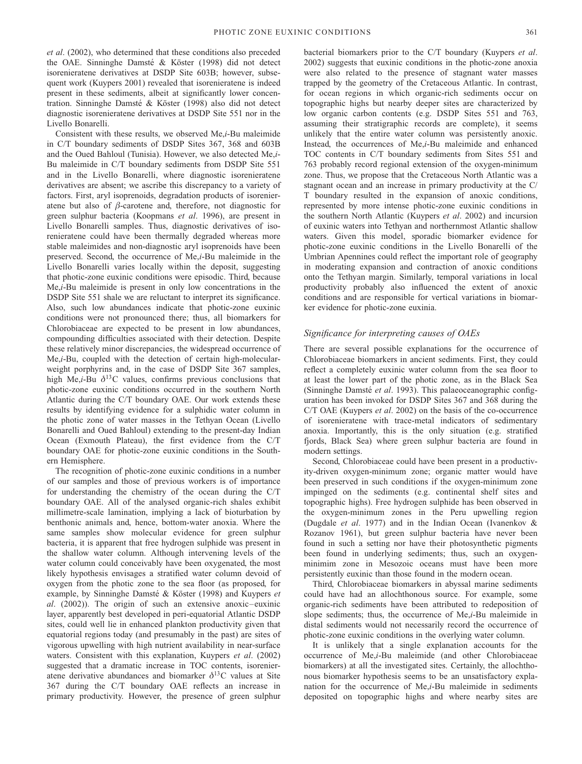et al. (2002), who determined that these conditions also preceded the OAE. [Sinninghe Dam](#page-11-0)sté & Köster (1998) did not detect isorenieratene derivatives at DSDP Site 603B; however, subsequent work [\(Kuypers 2001\)](#page-10-0) revealed that isorenieratene is indeed present in these sediments, albeit at significantly lower concen-tration. [Sinninghe Dam](#page-11-0)sté & Köster (1998) also did not detect diagnostic isorenieratene derivatives at DSDP Site 551 nor in the Livello Bonarelli.

Consistent with these results, we observed Me,i-Bu maleimide in C/T boundary sediments of DSDP Sites 367, 368 and 603B and the Oued Bahloul (Tunisia). However, we also detected Me,i-Bu maleimide in C/T boundary sediments from DSDP Site 551 and in the Livello Bonarelli, where diagnostic isorenieratene derivatives are absent; we ascribe this discrepancy to a variety of factors. First, aryl isoprenoids, degradation products of isorenieratene but also of  $\beta$ -carotene and, therefore, not diagnostic for green sulphur bacteria [\(Koopmans](#page-10-0) et al. 1996), are present in Livello Bonarelli samples. Thus, diagnostic derivatives of isorenieratene could have been thermally degraded whereas more stable maleimides and non-diagnostic aryl isoprenoids have been preserved. Second, the occurrence of Me,i-Bu maleimide in the Livello Bonarelli varies locally within the deposit, suggesting that photic-zone euxinic conditions were episodic. Third, because Me,i-Bu maleimide is present in only low concentrations in the DSDP Site 551 shale we are reluctant to interpret its significance. Also, such low abundances indicate that photic-zone euxinic conditions were not pronounced there; thus, all biomarkers for Chlorobiaceae are expected to be present in low abundances, compounding difficulties associated with their detection. Despite these relatively minor discrepancies, the widespread occurrence of Me,*i*-Bu, coupled with the detection of certain high-molecularweight porphyrins and, in the case of DSDP Site 367 samples, high Me, $i$ -Bu  $\delta^{13}$ C values, confirms previous conclusions that photic-zone euxinic conditions occurred in the southern North Atlantic during the C/T boundary OAE. Our work extends these results by identifying evidence for a sulphidic water column in the photic zone of water masses in the Tethyan Ocean (Livello Bonarelli and Oued Bahloul) extending to the present-day Indian Ocean (Exmouth Plateau), the first evidence from the C/T boundary OAE for photic-zone euxinic conditions in the Southern Hemisphere.

The recognition of photic-zone euxinic conditions in a number of our samples and those of previous workers is of importance for understanding the chemistry of the ocean during the C/T boundary OAE. All of the analysed organic-rich shales exhibit millimetre-scale lamination, implying a lack of bioturbation by benthonic animals and, hence, bottom-water anoxia. Where the same samples show molecular evidence for green sulphur bacteria, it is apparent that free hydrogen sulphide was present in the shallow water column. Although intervening levels of the water column could conceivably have been oxygenated, the most likely hypothesis envisages a stratified water column devoid of oxygen from the photic zone to the sea floor (as proposed, for example, by [Sinninghe Dam](#page-11-0)sté & Köster (1998) and [Kuypers](#page-10-0) et al. (2002)). The origin of such an extensive anoxic–euxinic layer, apparently best developed in peri-equatorial Atlantic DSDP sites, could well lie in enhanced plankton productivity given that equatorial regions today (and presumably in the past) are sites of vigorous upwelling with high nutrient availability in near-surface waters. Consistent with this explanation, [Kuypers](#page-10-0) et al. (2002) suggested that a dramatic increase in TOC contents, isorenieratene derivative abundances and biomarker  $\delta^{13}$ C values at Site 367 during the C/T boundary OAE reflects an increase in primary productivity. However, the presence of green sulphur

bacterial biomarkers prior to the C/T boundary [\(Kuypers](#page-10-0) et al. 2002) suggests that euxinic conditions in the photic-zone anoxia were also related to the presence of stagnant water masses trapped by the geometry of the Cretaceous Atlantic. In contrast, for ocean regions in which organic-rich sediments occur on topographic highs but nearby deeper sites are characterized by low organic carbon contents (e.g. DSDP Sites 551 and 763, assuming their stratigraphic records are complete), it seems unlikely that the entire water column was persistently anoxic. Instead, the occurrences of Me,i-Bu maleimide and enhanced TOC contents in C/T boundary sediments from Sites 551 and 763 probably record regional extension of the oxygen-minimum zone. Thus, we propose that the Cretaceous North Atlantic was a stagnant ocean and an increase in primary productivity at the C/ T boundary resulted in the expansion of anoxic conditions, represented by more intense photic-zone euxinic conditions in the southern North Atlantic [\(Kuypers](#page-10-0) et al. 2002) and incursion of euxinic waters into Tethyan and northernmost Atlantic shallow waters. Given this model, sporadic biomarker evidence for photic-zone euxinic conditions in the Livello Bonarelli of the Umbrian Apennines could reflect the important role of geography in moderating expansion and contraction of anoxic conditions onto the Tethyan margin. Similarly, temporal variations in local productivity probably also influenced the extent of anoxic conditions and are responsible for vertical variations in biomarker evidence for photic-zone euxinia.

### Significance for interpreting causes of OAEs

There are several possible explanations for the occurrence of Chlorobiaceae biomarkers in ancient sediments. First, they could reflect a completely euxinic water column from the sea floor to at least the lower part of the photic zone, as in the Black Sea [\(Sinninghe Dam](#page-11-0)sté et al. 1993). This palaeoceanographic configuration has been invoked for DSDP Sites 367 and 368 during the C/T OAE [\(Kuypers](#page-10-0) et al. 2002) on the basis of the co-occurrence of isorenieratene with trace-metal indicators of sedimentary anoxia. Importantly, this is the only situation (e.g. stratified fjords, Black Sea) where green sulphur bacteria are found in modern settings.

Second, Chlorobiaceae could have been present in a productivity-driven oxygen-minimum zone; organic matter would have been preserved in such conditions if the oxygen-minimum zone impinged on the sediments (e.g. continental shelf sites and topographic highs). Free hydrogen sulphide has been observed in the oxygen-minimum zones in the Peru upwelling region [\(Dugdale](#page-9-0) et al. 1977) and in the Indian Ocean [\(Ivanenkov &](#page-10-0) Rozanov 1961), but green sulphur bacteria have never been found in such a setting nor have their photosynthetic pigments been found in underlying sediments; thus, such an oxygenminimim zone in Mesozoic oceans must have been more persistently euxinic than those found in the modern ocean.

Third, Chlorobiaceae biomarkers in abyssal marine sediments could have had an allochthonous source. For example, some organic-rich sediments have been attributed to redeposition of slope sediments; thus, the occurrence of Me,i-Bu maleimide in distal sediments would not necessarily record the occurrence of photic-zone euxinic conditions in the overlying water column.

It is unlikely that a single explanation accounts for the occurrence of Me,i-Bu maleimide (and other Chlorobiaceae biomarkers) at all the investigated sites. Certainly, the allochthonous biomarker hypothesis seems to be an unsatisfactory explanation for the occurrence of Me,i-Bu maleimide in sediments deposited on topographic highs and where nearby sites are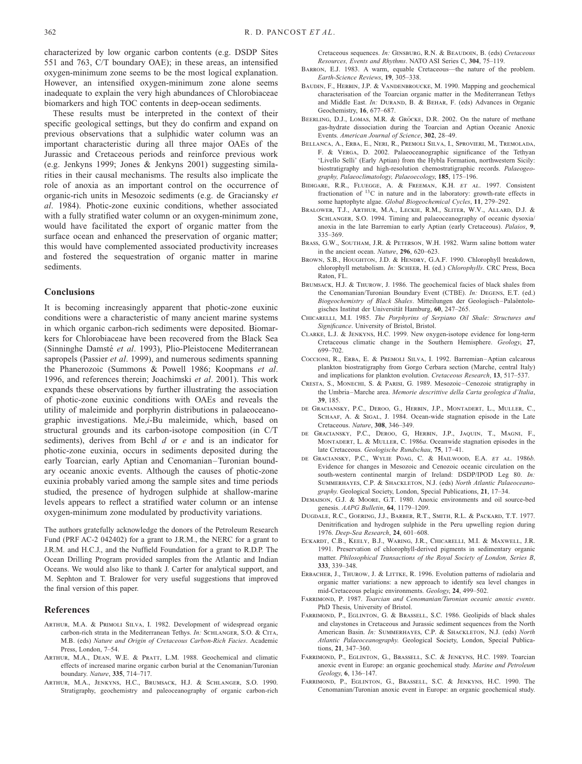<span id="page-9-0"></span>characterized by low organic carbon contents (e.g. DSDP Sites 551 and 763, C/T boundary OAE); in these areas, an intensified oxygen-minimum zone seems to be the most logical explanation. However, an intensified oxygen-minimum zone alone seems inadequate to explain the very high abundances of Chlorobiaceae biomarkers and high TOC contents in deep-ocean sediments.

These results must be interpreted in the context of their specific geological settings, but they do confirm and expand on previous observations that a sulphidic water column was an important characteristic during all three major OAEs of the Jurassic and Cretaceous periods and reinforce previous work (e.g. [Jenkyns 1999; Jones & Jenky](#page-10-0)ns 2001) suggesting similarities in their causal mechanisms. The results also implicate the role of anoxia as an important control on the occurrence of organic-rich units in Mesozoic sediments (e.g. de Graciansky et al. 1984). Photic-zone euxinic conditions, whether associated with a fully stratified water column or an oxygen-minimum zone, would have facilitated the export of organic matter from the surface ocean and enhanced the preservation of organic matter; this would have complemented associated productivity increases and fostered the sequestration of organic matter in marine sediments.

### Conclusions

It is becoming increasingly apparent that photic-zone euxinic conditions were a characteristic of many ancient marine systems in which organic carbon-rich sediments were deposited. Biomarkers for Chlorobiaceae have been recovered from the Black Sea [\(Sinninghe Dam](#page-11-0)sté et al. 1993), Plio-Pleistocene Mediterranean sapropels [\(Passier](#page-10-0) *et al.* 1999), and numerous sediments spanning the Phanerozoic [\(Summons & P](#page-11-0)owell 1986; [Koopmans](#page-10-0) et al. 1996, and references therein; [Joachimski](#page-10-0) et al. 2001). This work expands these observations by further illustrating the association of photic-zone euxinic conditions with OAEs and reveals the utility of maleimide and porphyrin distributions in palaeoceanographic investigations. Me,i-Bu maleimide, which, based on structural grounds and its carbon-isotope composition (in C/T sediments), derives from Bchl  $d$  or  $e$  and is an indicator for photic-zone euxinia, occurs in sediments deposited during the early Toarcian, early Aptian and Cenomanian–Turonian boundary oceanic anoxic events. Although the causes of photic-zone euxinia probably varied among the sample sites and time periods studied, the presence of hydrogen sulphide at shallow-marine levels appears to reflect a stratified water column or an intense oxygen-minimum zone modulated by productivity variations.

The authors gratefully acknowledge the donors of the Petroleum Research Fund (PRF AC-2 042402) for a grant to J.R.M., the NERC for a grant to J.R.M. and H.C.J., and the Nuffield Foundation for a grant to R.D.P. The Ocean Drilling Program provided samples from the Atlantic and Indian Oceans. We would also like to thank J. Carter for analytical support, and M. Sephton and T. Bralower for very useful suggestions that improved the final version of this paper.

#### References

- Arthur, M.A. & Primoli Silva, I. 1982. Development of widespread organic carbon-rich strata in the Mediterranean Tethys. In: SCHLANGER, S.O. & CITA, M.B. (eds) Nature and Origin of Cretaceous Carbon-Rich Facies. Academic Press, London, 7–54.
- Arthur, M.A., Dean, W.E. & Pratt, L.M. 1988. Geochemical and climatic effects of increased marine organic carbon burial at the Cenomanian/Turonian boundary. Nature, 335, 714–717.
- Arthur, M.A., Jenkyns, H.C., Brumsack, H.J. & Schlanger, S.O. 1990. Stratigraphy, geochemistry and paleoceanography of organic carbon-rich

Cretaceous sequences. In: Ginsburg, R.N. & Beaudoin, B. (eds) Cretaceous Resources, Events and Rhythms. NATO ASI Series C, 304, 75–119.

- Barron, E.J. 1983. A warm, equable Cretaceous—the nature of the problem. Earth-Science Reviews, 19, 305–338.
- BAUDIN, F., HERBIN, J.P. & VANDENBROUCKE, M. 1990. Mapping and geochemical characterisation of the Toarcian organic matter in the Mediterranean Tethys and Middle East. In: DURAND, B. & BEHAR, F. (eds) Advances in Organic Geochemistry, 16, 677–687.
- BEERLING, D.J., LOMAS, M.R. & GRÖCKE, D.R. 2002. On the nature of methane gas-hydrate dissociation during the Toarcian and Aptian Oceanic Anoxic Events. American Journal of Science, 302, 28–49.
- Bellanca, A., Erba, E., Neri, R., Premoli Silva, I., Sprovieri, M., Tremolada, F. & Verga, D. 2002. Palaeoceanographic significance of the Tethyan 'Livello Selli' (Early Aptian) from the Hybla Formation, northwestern Sicily: biostratigraphy and high-resolution chemostratigraphic records. Palaeogeography, Palaeoclimatology, Palaeoecology, 185, 175–196.
- Bidigare, R.R., Fluegge, A. & Freeman, K.H. et al. 1997. Consistent fractionation of  $^{13}$ C in nature and in the laboratory: growth-rate effects in some haptophyte algae. Global Biogeochemical Cycles, 11, 279–292.
- Bralower, T.J., Arthur, M.A., Leckie, R.M., Sliter, W.V., Allard, D.J. & SCHLANGER, S.O. 1994. Timing and palaeoceanography of oceanic dysoxia/ anoxia in the late Barremian to early Aptian (early Cretaceous). Palaios, 9, 335–369.
- Brass, G.W., Southam, J.R. & Peterson, W.H. 1982. Warm saline bottom water in the ancient ocean. Nature, 296, 620–623.
- BROWN, S.B., HOUGHTON, J.D. & HENDRY, G.A.F. 1990. Chlorophyll breakdown, chlorophyll metabolism. In: SCHEER, H. (ed.) Chlorophylls. CRC Press, Boca Raton, FL.
- Brumsack, H.J. & Thurow, J. 1986. The geochemical facies of black shales from the Cenomanian/Turonian Boundary Event (CTBE). In: DEGENS, E.T. (ed.) Biogeochemistry of Black Shales. Mitteilungen der Geologisch-Palaöntologisches Institut der Universität Hamburg, 60, 247–265.
- Chicarelli, M.I. 1985. The Porphyrins of Serpiano Oil Shale: Structures and Significance. University of Bristol, Bristol.
- Clarke, L.J. & Jenkyns, H.C. 1999. New oxygen-isotope evidence for long-term Cretaceous climatic change in the Southern Hemisphere. Geology, 27, 699–702.
- Coccioni, R., Erba, E. & Premoli Silva, I. 1992. Barremian-Aptian calcarous plankton biostratigraphy from Gorgo Cerbara section (Marche, central Italy) and implications for plankton evolution. Cretaceous Research, 13, 517–537.
- Cresta, S., Monechi, S. & Parisi, G. 1989. Mesozoic–Cenozoic stratigraphy in the Umbria–Marche area. Memorie descrittive della Carta geologica d'Italia, 39, 185.
- de Graciansky, P.C., Deroo, G., Herbin, J.P., Montadert, L., Muller, C., SCHAAF, A. & SIGAL, J. 1984. Ocean-wide stagnation episode in the Late Cretaceous. Nature, 308, 346–349.
- de Graciansky, P.C., Deroo, G, Herbin, J.P., Jaquin, T., Magni, F., MONTADERT, L. & MULLER, C. 1986a. Oceanwide stagnation episodes in the late Cretaceous. Geologische Rundschau, 75, 17–41.
- de Graciansky, P.C., Wylie Poag, C. & Hailwood, E.A. et al. 1986b. Evidence for changes in Mesozoic and Cenozoic oceanic circulation on the south-western continental margin of Ireland: DSDP/IPOD Leg 80. In: SUMMERHAYES, C.P. & SHACKLETON, N.J. (eds) North Atlantic Palaeoceanography. Geological Society, London, Special Publications, 21, 17–34.
- Demaison, G.J. & Moore, G.T. 1980. Anoxic environments and oil source-bed genesis. AAPG Bulletin, 64, 1179–1209.
- Dugdale, R.C., Goering, J.J., Barber, R.T., Smith, R.L. & Packard, T.T. 1977. Denitrification and hydrogen sulphide in the Peru upwelling region during 1976. Deep-Sea Research, 24, 601–608.
- Eckardt, C.B., Keely, B.J., Waring, J.R., Chicarelli, M.I. & Maxwell, J.R. 1991. Preservation of chlorophyll-derived pigments in sedimentary organic matter. Philosophical Transactions of the Royal Society of London, Series B, 333, 339–348.
- ERBACHER, J., THUROW, J. & LITTKE, R. 1996. Evolution patterns of radiolaria and organic matter variations: a new approach to identify sea level changes in mid-Cretaceous pelagic environments. Geology, 24, 499–502.
- FARRIMOND, P. 1987. Toarcian and Cenomanian/Turonian oceanic anoxic events. PhD Thesis, University of Bristol.
- FARRIMOND, P., EGLINTON, G. & BRASSELL, S.C. 1986. Geolipids of black shales and claystones in Cretaceous and Jurassic sediment sequences from the North American Basin. In: SUMMERHAYES, C.P. & SHACKLETON, N.J. (eds) North Atlantic Palaeoceanography. Geological Society, London, Special Publications, 21, 347–360.
- Farrimond, P., Eglinton, G., Brassell, S.C. & Jenkyns, H.C. 1989. Toarcian anoxic event in Europe: an organic geochemical study. Marine and Petroleum Geology, 6, 136–147.
- Farrimond, P., Eglinton, G., Brassell, S.C. & Jenkyns, H.C. 1990. The Cenomanian/Turonian anoxic event in Europe: an organic geochemical study.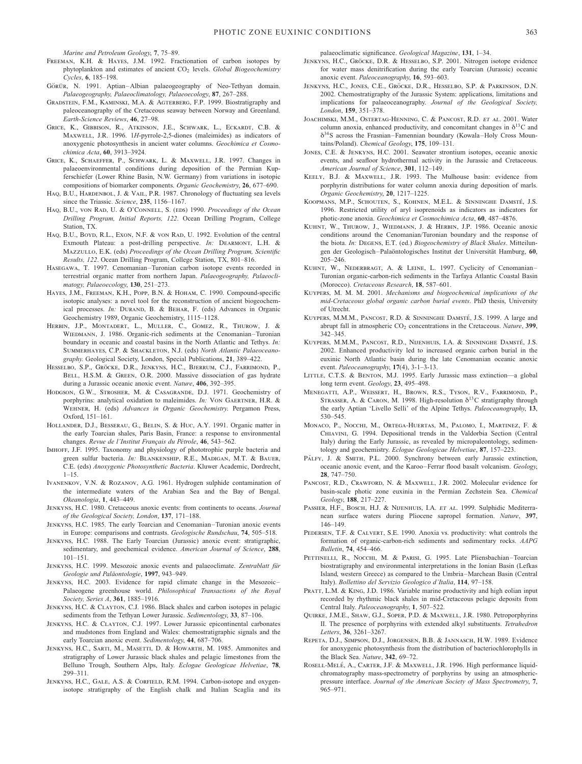Marine and Petroleum Geology, 7, 75–89.

- <span id="page-10-0"></span>Freeman, K.H. & Hayes, J.M. 1992. Fractionation of carbon isotopes by phytoplankton and estimates of ancient  $CO<sub>2</sub>$  levels. Global Biogeochemistry Cycles, 6, 185–198.
- Görür, N. 1991. Aptian–Albian palaeogeography of Neo-Tethyan domain. Palaeogeography, Palaeoclimatology, Palaeoecology, 87, 267–288.
- Gradstein, F.M., Kaminski, M.A. & Agterberg, F.P. 1999. Biostratigraphy and paleoceanography of the Cretaceous seaway between Norway and Greenland. Earth-Science Reviews, 46, 27–98.
- Grice, K., Gibbison, R., Atkinson, J.E., Schwark, L., Eckardt, C.B. & Maxwell, J.R. 1996. 1H-pyrrole-2,5-diones (maleimides) as indicators of anoxygenic photosynthesis in ancient water columns. Geochimica et Cosmochimica Acta, 60, 3913–3924.
- Grice, K., Schaeffer, P., Schwark, L. & Maxwell, J.R. 1997. Changes in palaeoenvironmental conditions during deposition of the Permian Kupferschiefer (Lower Rhine Basin, N.W. Germany) from variations in isotopic compositions of biomarker components. Organic Geochemistry, 26, 677–690.
- HAQ, B.U., HARDENBOL, J. & VAIL, P.R. 1987. Chronology of fluctuating sea levels since the Triassic. Science, 235, 1156-1167.
- HAQ, B.U., von RAD, U. & O'Connell, S. (EDS) 1990. Proceedings of the Ocean Drilling Program, Initial Reports, 122. Ocean Drilling Program, College Station, TX.
- HAQ, B.U., BOYD, R.L., Exon, N.F. & von RAD, U. 1992. Evolution of the central Exmouth Plateau: a post-drilling perspective. In: DEARMONT, L.H. & Mazzullo, E.K. (eds) Proceedings of the Ocean Drilling Program, Scientific Results, 122. Ocean Drilling Program, College Station, TX, 801–816.
- Hasegawa, T. 1997. Cenomanian–Turonian carbon isotope events recorded in terrestrial organic matter from northern Japan. Palaeogeography, Palaeoclimatogy, Palaeoecology, 130, 251–273.
- Hayes, J.M., Freeman, K.H., Popp, B.N. & Hoham, C. 1990. Compound-specific isotopic analyses: a novel tool for the reconstruction of ancient biogeochemical processes. In: DURAND, B. & BEHAR, F. (eds) Advances in Organic Geochemistry 1989, Organic Geochemistry, 1115–1128.
- Herbin, J.P., Montadert, L., Muller, C., Gomez, R., Thurow, J. & WIEDMANN, J. 1986. Organic-rich sediments at the Cenomanian–Turonian boundary in oceanic and coastal basins in the North Atlantic and Tethys. In: SUMMERHAYES, C.P. & SHACKLETON, N.J. (eds) North Atlantic Palaeoceanography. Geological Society, London, Special Publications, 21, 389–422.
- HESSELBO, S.P., GRÖCKE, D.R., JENKYNS, H.C., BJERRUM, C.J., FARRIMOND, P., Bell, H.S.M. & Green, O.R. 2000. Massive dissociation of gas hydrate during a Jurassic oceanic anoxic event. Nature, 406, 392-395.
- HODGSON, G.W., STROSHER, M. & CASAGRANDE, D.J. 1971. Geochemistry of porphyrins: analytical oxidation to maleimides. In: VON GAERTNER, H.R. & Wehner, H. (eds) Advances in Organic Geochemistry. Pergamon Press, Oxford, 151–161.
- Hollander, D.J., Besserau, G., Belin, S. & Huc, A.Y. 1991. Organic matter in the early Toarcian shales, Paris Basin, France: a response to environmental changes. Revue de l'Institut Français du Pétrole, 46, 543-562.
- IMHOFF, J.F. 1995. Taxonomy and physiology of phototrophic purple bacteria and green sulfur bacteria. In: Blankenship, R.E., Madigan, M.T. & Bauer, C.E. (eds) Anoxygenic Photosynthetic Bacteria. Kluwer Academic, Dordrecht,  $1 - 15$ .
- Ivanenkov, V.N. & Rozanov, A.G. 1961. Hydrogen sulphide contamination of the intermediate waters of the Arabian Sea and the Bay of Bengal. Okeanologia, 1, 443–449.
- Jenkyns, H.C. 1980. Cretaceous anoxic events: from continents to oceans. Journal of the Geological Society, London, 137, 171–188.
- Jenkyns, H.C. 1985. The early Toarcian and Cenomanian–Turonian anoxic events in Europe: comparisons and contrasts. Geologische Rundschau, 74, 505–518.
- Jenkyns, H.C. 1988. The Early Toarcian (Jurassic) anoxic event: stratigraphic, sedimentary, and geochemical evidence. American Journal of Science, 288, 101–151.
- JENKYNS, H.C. 1999. Mesozoic anoxic events and palaeoclimate. Zentrablatt für Geologie und Paläontologie, 1997, 943-949.
- Jenkyns, H.C. 2003. Evidence for rapid climate change in the Mesozoic– Palaeogene greenhouse world. Philosophical Transactions of the Royal Society, Series A, 361, 1885–1916.
- Jenkyns, H.C. & Clayton, C.J. 1986. Black shales and carbon isotopes in pelagic sediments from the Tethyan Lower Jurassic. Sedimentology, 33, 87-106.
- Jenkyns, H.C. & Clayton, C.J. 1997. Lower Jurassic epicontinental carbonates and mudstones from England and Wales: chemostratigraphic signals and the early Toarcian anoxic event. Sedimentology, 44, 687–706.
- JENKYNS, H.C., SARTI, M., MASETTI, D. & HOWARTH, M. 1985. Ammonites and stratigraphy of Lower Jurassic black shales and pelagic limestones from the Belluno Trough, Southern Alps, Italy. Eclogae Geologicae Helvetiae, 78, 299–311.
- JENKYNS, H.C., GALE, A.S. & CORFIELD, R.M. 1994. Carbon-isotope and oxygenisotope stratigraphy of the English chalk and Italian Scaglia and its

palaeoclimatic significance. Geological Magazine, 131, 1–34.

- JENKYNS, H.C., GRÖCKE, D.R. & HESSELBO, S.P. 2001. Nitrogen isotope evidence for water mass denitrification during the early Toarcian (Jurassic) oceanic anoxic event. Paleoceanography, 16, 593–603.
- JENKYNS, H.C., JONES, C.E., GRÖCKE, D.R., HESSELBO, S.P. & PARKINSON, D.N. 2002. Chemostratigraphy of the Jurassic System: applications, limitations and implications for palaeoceanography. Journal of the Geological Society, London, 159, 351–378.
- Joachimski, M.M., Ostertag-Henning, C. & Pancost, R.D. et al. 2001. Water column anoxia, enhanced productivity, and concomitant changes in  $\delta^{13}$ C and -34S across the Frasnian–Famennian boundary (Kowala–Holy Cross Mountains/Poland). Chemical Geology, 175, 109–131.
- Jones, C.E. & Jenkyns, H.C. 2001. Seawater strontium isotopes, oceanic anoxic events, and seafloor hydrothermal activity in the Jurassic and Cretaceous. American Journal of Science, 301, 112–149.
- Keely, B.J. & Maxwell, J.R. 1993. The Mulhouse basin: evidence from porphyrin distributions for water column anoxia during deposition of marls. Organic Geochemistry, 20, 1217–1225.
- KOOPMANS, M.P., SCHOUTEN, S., KOHNEN, M.E.L. & SINNINGHE DAMSTÉ. J.S. 1996. Restricted utility of aryl isoprenoids as indicators as indicators for photic-zone anoxia. Geochimica et Cosmochimica Acta, 60, 487–4876.
- Kuhnt, W., Thurow, J., Wiedmann, J. & Herbin, J.P. 1986. Oceanic anoxic conditions around the Cenomanian/Turonian boundary and the response of the biota. In: DEGENS, E.T. (ed.) Biogeochemistry of Black Shales. Mitteilungen der Geologisch–Palaöntologisches Institut der Universität Hamburg, 60, 205–246.
- KUHNT, W., NEDERBRAGT, A. & LEINE, L. 1997. Cyclicity of Cenomanian-Turonian organic-carbon-rich sediments in the Tarfaya Atlantic Coastal Basin (Morocco). Cretaceous Research, 18, 587–601.
- Kuypers, M. M. M. 2001. Mechanisms and biogeochemical implications of the mid-Cretaceous global organic carbon burial events. PhD thesis, University of Utrecht.
- KUYPERS, M.M.M., PANCOST, R.D. & SINNINGHE DAMSTÉ, J.S. 1999. A large and abrupt fall in atmospheric  $CO<sub>2</sub>$  concentrations in the Cretaceous. Nature, 399, 342–345.
- KUYPERS, M.M.M., PANCOST, R.D., NIJENHUIS, I.A. & SINNINGHE DAMSTÉ, J.S. 2002. Enhanced productivity led to increased organic carbon burial in the euxinic North Atlantic basin during the late Cenomanian oceanic anoxic event. Paleoceanography, 17(4), 3-1-3-13.
- LITTLE, C.T.S. & BENTON, M.J. 1995. Early Jurassic mass extinction-a global long term event. Geology, 23, 495–498.
- Menegatti, A.P., Weissert, H., Brown, R.S., Tyson, R.V., Farrimond, P., STRASSER, A. & CARON, M. 1998. High-resolution  $\delta^{13}$ C stratigraphy through the early Aptian 'Livello Selli' of the Alpine Tethys. Paleoceanography, 13, 530–545.
- Monaco, P., Nocchi, M., Ortega-Huertas, M., Palomo, I., Martinez, F. & Chiavini, G. 1994. Depositional trends in the Valdorbia Section (Central Italy) during the Early Jurassic, as revealed by micropaleontology, sedimentology and geochemistry. Eclogae Geologicae Helvetiae, 87, 157–223.
- PÁLFY, J. & SMITH, P.L. 2000. Synchrony between early Jurassic extinction, oceanic anoxic event, and the Karoo–Ferrar flood basalt volcanism. Geology, 28, 747–750.
- PANCOST, R.D., CRAWFORD, N. & MAXWELL, J.R. 2002. Molecular evidence for basin-scale photic zone euxinia in the Permian Zechstein Sea. Chemical Geology, 188, 217–227.
- PASSIER, H.F., BOSCH, H.J. & NIJENHUIS, I.A. ET AL. 1999. Sulphidic Mediterranean surface waters during Pliocene sapropel formation. Nature, 397, 146–149.
- PEDERSEN, T.F. & CALVERT, S.E. 1990. Anoxia vs. productivity: what controls the formation of organic-carbon-rich sediments and sedimentary rocks. AAPG Bulletin, 74, 454–466.
- PETTINELLI, R., NOCCHI, M. & PARISI, G. 1995. Late Pliensbachian-Toarcian biostratigraphy and environmental interpretations in the Ionian Basin (Lefkas Island, western Greece) as compared to the Umbria–Marchean Basin (Central Italy). Bollettino del Servizio Geologico d'Italia, 114, 97–158.
- PRATT, L.M. & KING, J.D. 1986. Variable marine productivity and high eolian input recorded by rhythmic black shales in mid-Cretaceous pelagic deposits from Central Italy. Paleoceanography, 1, 507–522.
- Quirke, J.M.E., Shaw, G.J., Soper, P.D. & Maxwell, J.R. 1980. Petroporphyrins II. The presence of porphyrins with extended alkyl substituents. Tetrahedron Letters, 36, 3261–3267.
- Repeta, D.J., Simpson, D.J., Jorgensen, B.B. & Jannasch, H.W. 1989. Evidence for anoxygenic photosynthesis from the distribution of bacteriochlorophylls in the Black Sea. Nature, 342, 69-72.
- ROSELL-MELÉ, A., CARTER, J.F. & MAXWELL, J.R. 1996. High performance liquidchromatography mass-spectrometry of porphyrins by using an atmosphericpressure interface. Journal of the American Society of Mass Spectrometry, 7, 965–971.